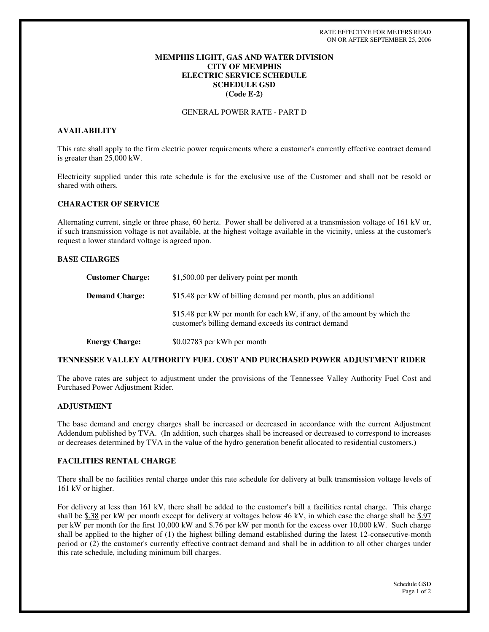# **MEMPHIS LIGHT, GAS AND WATER DIVISION CITY OF MEMPHIS ELECTRIC SERVICE SCHEDULE SCHEDULE GSD (Code E-2)**

# GENERAL POWER RATE - PART D

## **AVAILABILITY**

This rate shall apply to the firm electric power requirements where a customer's currently effective contract demand is greater than 25,000 kW.

Electricity supplied under this rate schedule is for the exclusive use of the Customer and shall not be resold or shared with others.

### **CHARACTER OF SERVICE**

Alternating current, single or three phase, 60 hertz. Power shall be delivered at a transmission voltage of 161 kV or, if such transmission voltage is not available, at the highest voltage available in the vicinity, unless at the customer's request a lower standard voltage is agreed upon.

## **BASE CHARGES**

| <b>Customer Charge:</b> | \$1,500.00 per delivery point per month                                                                                           |
|-------------------------|-----------------------------------------------------------------------------------------------------------------------------------|
| <b>Demand Charge:</b>   | \$15.48 per kW of billing demand per month, plus an additional                                                                    |
|                         | \$15.48 per kW per month for each kW, if any, of the amount by which the<br>customer's billing demand exceeds its contract demand |
| <b>Energy Charge:</b>   | \$0.02783 per kWh per month                                                                                                       |

### **TENNESSEE VALLEY AUTHORITY FUEL COST AND PURCHASED POWER ADJUSTMENT RIDER**

The above rates are subject to adjustment under the provisions of the Tennessee Valley Authority Fuel Cost and Purchased Power Adjustment Rider.

#### **ADJUSTMENT**

The base demand and energy charges shall be increased or decreased in accordance with the current Adjustment Addendum published by TVA. (In addition, such charges shall be increased or decreased to correspond to increases or decreases determined by TVA in the value of the hydro generation benefit allocated to residential customers.)

# **FACILITIES RENTAL CHARGE**

There shall be no facilities rental charge under this rate schedule for delivery at bulk transmission voltage levels of 161 kV or higher.

For delivery at less than 161 kV, there shall be added to the customer's bill a facilities rental charge. This charge shall be \$.38 per kW per month except for delivery at voltages below 46 kV, in which case the charge shall be \$.97 per kW per month for the first 10,000 kW and \$.76 per kW per month for the excess over 10,000 kW. Such charge shall be applied to the higher of (1) the highest billing demand established during the latest 12-consecutive-month period or (2) the customer's currently effective contract demand and shall be in addition to all other charges under this rate schedule, including minimum bill charges.